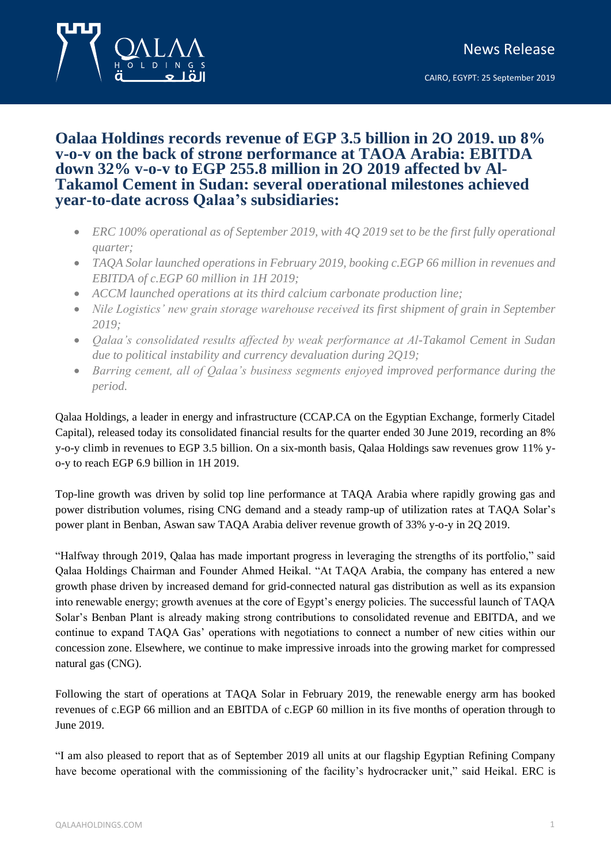## **Qalaa Holdings records revenue of EGP 3.5 billion in 2Q 2019, up 8% y-o-y on the back of strong performance at TAQA Arabia; EBITDA down 32% y-o-y to EGP 255.8 million in 2Q 2019 affected by Al-Takamol Cement in Sudan; several operational milestones achieved year-to-date across Qalaa's subsidiaries:**

- *ERC 100% operational as of September 2019, with 4Q 2019 set to be the first fully operational quarter;*
- *TAQA Solar launched operations in February 2019, booking c.EGP 66 million in revenues and EBITDA of c.EGP 60 million in 1H 2019;*
- *ACCM launched operations at its third calcium carbonate production line;*
- *Nile Logistics' new grain storage warehouse received its first shipment of grain in September 2019;*
- *Qalaa's consolidated results affected by weak performance at Al-Takamol Cement in Sudan due to political instability and currency devaluation during 2Q19;*
- *Barring cement, all of Qalaa's business segments enjoyed improved performance during the period.*

Qalaa Holdings, a leader in energy and infrastructure (CCAP.CA on the Egyptian Exchange, formerly Citadel Capital), released today its consolidated financial results for the quarter ended 30 June 2019, recording an 8% y-o-y climb in revenues to EGP 3.5 billion. On a six-month basis, Qalaa Holdings saw revenues grow 11% yo-y to reach EGP 6.9 billion in 1H 2019.

Top-line growth was driven by solid top line performance at TAQA Arabia where rapidly growing gas and power distribution volumes, rising CNG demand and a steady ramp-up of utilization rates at TAQA Solar's power plant in Benban, Aswan saw TAQA Arabia deliver revenue growth of 33% y-o-y in 2Q 2019.

"Halfway through 2019, Qalaa has made important progress in leveraging the strengths of its portfolio," said Qalaa Holdings Chairman and Founder Ahmed Heikal. "At TAQA Arabia, the company has entered a new growth phase driven by increased demand for grid-connected natural gas distribution as well as its expansion into renewable energy; growth avenues at the core of Egypt's energy policies. The successful launch of TAQA Solar's Benban Plant is already making strong contributions to consolidated revenue and EBITDA, and we continue to expand TAQA Gas' operations with negotiations to connect a number of new cities within our concession zone. Elsewhere, we continue to make impressive inroads into the growing market for compressed natural gas (CNG).

Following the start of operations at TAQA Solar in February 2019, the renewable energy arm has booked revenues of c.EGP 66 million and an EBITDA of c.EGP 60 million in its five months of operation through to June 2019.

"I am also pleased to report that as of September 2019 all units at our flagship Egyptian Refining Company have become operational with the commissioning of the facility's hydrocracker unit," said Heikal. ERC is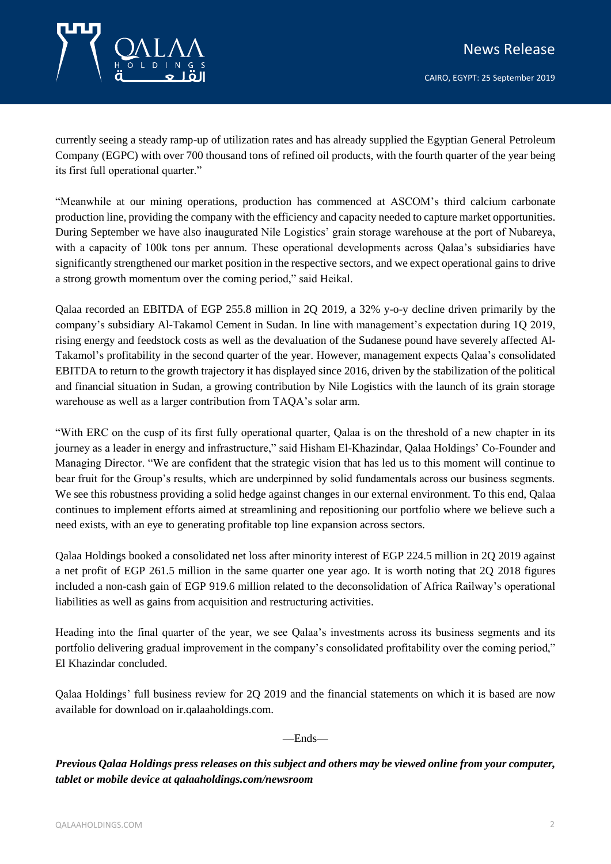

currently seeing a steady ramp-up of utilization rates and has already supplied the Egyptian General Petroleum Company (EGPC) with over 700 thousand tons of refined oil products, with the fourth quarter of the year being its first full operational quarter."

"Meanwhile at our mining operations, production has commenced at ASCOM's third calcium carbonate production line, providing the company with the efficiency and capacity needed to capture market opportunities. During September we have also inaugurated Nile Logistics' grain storage warehouse at the port of Nubareya, with a capacity of 100k tons per annum. These operational developments across Qalaa's subsidiaries have significantly strengthened our market position in the respective sectors, and we expect operational gains to drive a strong growth momentum over the coming period," said Heikal.

Qalaa recorded an EBITDA of EGP 255.8 million in 2Q 2019, a 32% y-o-y decline driven primarily by the company's subsidiary Al-Takamol Cement in Sudan. In line with management's expectation during 1Q 2019, rising energy and feedstock costs as well as the devaluation of the Sudanese pound have severely affected Al-Takamol's profitability in the second quarter of the year. However, management expects Qalaa's consolidated EBITDA to return to the growth trajectory it has displayed since 2016, driven by the stabilization of the political and financial situation in Sudan, a growing contribution by Nile Logistics with the launch of its grain storage warehouse as well as a larger contribution from TAQA's solar arm.

"With ERC on the cusp of its first fully operational quarter, Qalaa is on the threshold of a new chapter in its journey as a leader in energy and infrastructure," said Hisham El-Khazindar, Qalaa Holdings' Co-Founder and Managing Director. "We are confident that the strategic vision that has led us to this moment will continue to bear fruit for the Group's results, which are underpinned by solid fundamentals across our business segments. We see this robustness providing a solid hedge against changes in our external environment. To this end, Qalaa continues to implement efforts aimed at streamlining and repositioning our portfolio where we believe such a need exists, with an eye to generating profitable top line expansion across sectors.

Qalaa Holdings booked a consolidated net loss after minority interest of EGP 224.5 million in 2Q 2019 against a net profit of EGP 261.5 million in the same quarter one year ago. It is worth noting that 2Q 2018 figures included a non-cash gain of EGP 919.6 million related to the deconsolidation of Africa Railway's operational liabilities as well as gains from acquisition and restructuring activities.

Heading into the final quarter of the year, we see Qalaa's investments across its business segments and its portfolio delivering gradual improvement in the company's consolidated profitability over the coming period," El Khazindar concluded.

Qalaa Holdings' full business review for 2Q 2019 and the financial statements on which it is based are now available for download on ir.qalaaholdings.com.

—Ends—

*Previous Qalaa Holdings press releases on this subject and others may be viewed online from your computer, tablet or mobile device at qalaaholdings.com/newsroom*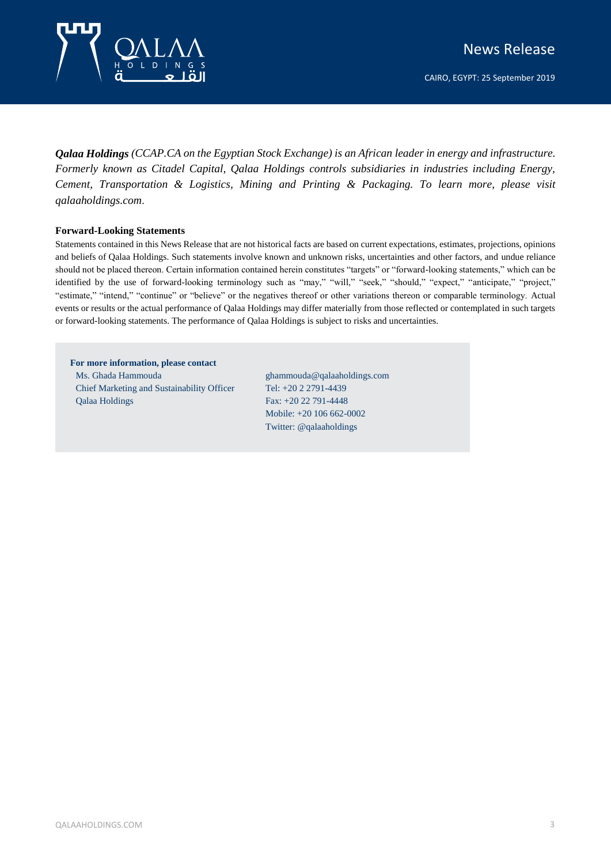

CAIRO, EGYPT: 25 September 2019

*Qalaa Holdings (CCAP.CA on the Egyptian Stock Exchange) is an African leader in energy and infrastructure. Formerly known as Citadel Capital, Qalaa Holdings controls subsidiaries in industries including Energy, Cement, Transportation & Logistics, Mining and Printing & Packaging. To learn more, please visit qalaaholdings.com*.

## **Forward-Looking Statements**

Statements contained in this News Release that are not historical facts are based on current expectations, estimates, projections, opinions and beliefs of Qalaa Holdings. Such statements involve known and unknown risks, uncertainties and other factors, and undue reliance should not be placed thereon. Certain information contained herein constitutes "targets" or "forward-looking statements," which can be identified by the use of forward-looking terminology such as "may," "will," "seek," "should," "expect," "anticipate," "project," "estimate," "intend," "continue" or "believe" or the negatives thereof or other variations thereon or comparable terminology. Actual events or results or the actual performance of Qalaa Holdings may differ materially from those reflected or contemplated in such targets or forward-looking statements. The performance of Qalaa Holdings is subject to risks and uncertainties.

**For more information, please contact** Ms. Ghada Hammouda Chief Marketing and Sustainability Officer Qalaa Holdings

ghammouda@qalaaholdings.com Tel: +20 2 2791-4439 Fax: +20 22 791-4448 Mobile: +20 106 662-0002 Twitter: @qalaaholdings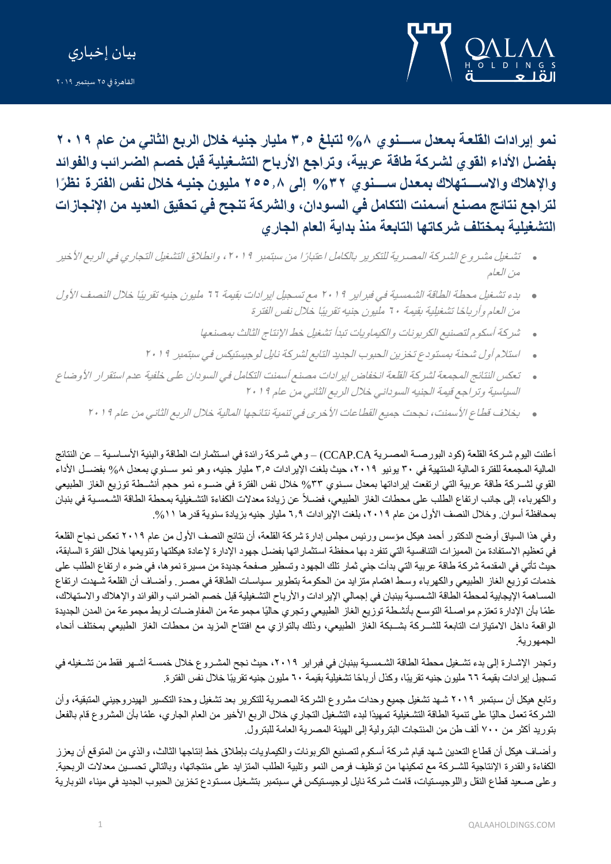



**نمو إيرادات القلعة ممعل نةةةةةة و %8 لتبلغ 5.3 مليار ج يه خال الرمع الثاني من عام 9102** بفضـل الأداء القو ي لشـركة طاقة عربية، وتراجع الأرباح التشـغيلية قبل خصـم الضـرائب والفوائد **واإلهالك واالنةةةةةةتعالك ممعةل نةةةةةة و %59 إلى 933.8 مليون ج يةه خال نفا الفتر نظ را**  لتراجع نتائج مصنع أسمنت التكامل في السودان، والشركة تنجح في تحقيق العديد من الإنجازات التشغيلية بمختلف شركاتها التابعة منذ بداية العام الجا*ر ى* 

- ه تشغيل مشروع الشركة المصرية للتكرير بالكامل اعتبارًا من سبتمبر ٢٠١٩ ، وانطلاق التشغيل التجاري في الربع الأخير من العام
- ه بدء تشغيل محطة الطاقة الشمسية في فبراير. ٢٠١٩ مع تسجيل إيرادات بقيمة ٢٦ مليون جنيه تقريبًا خلال النصف الأول من العام وأرباحًا تشغيلية بقيمة ٢٠ مليون جنيه تقريبًا خلال نفس الفترة
	- شركة أسكوم لتصنيع الكربونات والكيماويات تبدأ تشغيل خط الإنتاج الثالث بمصنعها
	- استلام أول شحنة بمستودع تخزين الحبوب الجديد التابع لشركة نابل لوجيستيكس في سبتمبر 191
- ه تعكس النتائج المجمعة لشركة القلعة انخفاض إيرادات مصنع أسمنت التكامل في السودان على خلفية عدم استقرار الأوضاع السياسية وتراجع قيمة الجنيه السوداني خلال الربع الثاني من عام 1911
	- ه \_ بخلاف قطاع الأسمنت، نجحت جميع القطاعات الأخرى في تنمية نتائجها المالية خلال الربع الثاني من عام 1912

أعلنت اليوم شـركة القلعة (كود البور صــة المصـرية CCAP.CA) – وهي شـركة رائدة في اسـتثمارات الطاقة والبنية الأسـاسـية – عن النتائج المالية المجمعة للفترة المالية المنتهية في ٣٠ يونيو ٢٠١٩، حيث بلغت الإيرادات ٣٫٥ مليار جنيه، وهو نمو سـنوي بمعدل ٨% بفضــل الأداء القوي لشــركة طاقة عربية التي ارتفعت إيراداتها بمعدل ســنوي ٣٣% خلال نفس الفترة في ضـــوء نمو حجم أنشــطة توزيع الغاز الطبيعي والكهرباء، إلى جانب ارتفاع الطلب على محطات الغاز الطبيعي، فضـلاً عن زيادة معدلات الكفاءة التشـغيلية بمحطة الطاقة الشـمسـية في بنبان بمحافظة أسوان. وخلال النصف الأول من عام ٢٠١٩، بلغت الإير ادات ٦٫٩ مليار جنيه بزيادة سنوية قدرها ١١%.

وفي هذا السياق أوضح الدكتور أحمد هيكل مؤسس ورئيس مجلس إدارة شركة القلعة، أن نتائج النصف الأول من عام ٢٠١٩ تعكس نجاح القلعة في تعظيم الاستفادة من المميزات التنافسية التي تنفرد بها محفظة استثماراتها بفضل جهود الإدارة لإعادة هيكلتها وتنويعها خلال الفترة السابقة، حيث تأتي في المقدمة شركة طاقة عربية التي بدأت جني ثمار تلك الجهود وتسطير صفحة جديدة من مسيرة نموها، في ضوء ارتفاع الطلب على خدمات توزيع الغاز الطبيعي والكهرباء وسط اهتمام متزايد من الحكومة بتطوير سياسات الطاقة في مصـر وأضـاف أن القلعة شـهدت ارتفاع المساهمة الإيجابية لمحطة الطاقة الشمسية ببنبان في إجمالي الإيرادات والأرباح التشغيلية قبل خصم الضرائب والفوائد والإهلاك والاستهلاك، علمًا بأن الإدارة تعتزم مواصلة التوسع بأنشطة توزيع الغاز الطبيعي وتجري حاليًا مجموعة من المفاوضـات لربط مجموعة من المدن الجديدة الواقعة داخل الامتيازات التابعة للشــركة بشــبكة الغاز الطبيعي، وذلك بالتوازي مع افتتاح المزيد من محطات الغاز الطبيعي بمختلف أنحاء الجمهورة .

وتجدر الإشـارة إلى بدء تشـغيل محطة الطاقة الشـمسـية ببنبان في فبراير ٢٠١٩، حيث نجح المشـروع خلال خمسـة أشـهر فقط من تشـغيله في تسجيل إيرادات بقيمة ٦٦ مليون جنيه تقريبًا، وكذل أرباحًا تشغيلية بقيمة ٦٠ مليون جنيه تقريبًا خلال نفس الفترة.

وتابع هيكل أن سبتمبر ٢٠١٩ شـهد تشغيل جميع وحدات مشروع الشركة المصرية للتكرير بعد تشغيل وحدة التكسير الهيدروجيني المتبقية، وأن الشركة تعمل حاليًا على تنمية الطاقة التشغيلية تمهيدًا لبدء التشغيل التجاري خلال الربع الأخير من العام الجاري، علمًا بأن المشروع قام بالفعل بتوريد أكثر من ٧٠٠ ألف طن من المنتجات البترولية إلى الهيئة المصرية العامة للبترول.

وأضـاف هيكل أن قطاع التعدين شـهد قيام شركة أسكوم لتصنيع الكربونات والكيماويات بإطلاق خط إنتاجها الثالث، والذي من المتوقع أن يعزز الكفاءة والقدرة الإنتاجية للشـركة مع تمكينها من توظيف فرص النمو وتلبية الطلب المتزايد على منتجاتها، وبالتالي تحسـين معدلات الربحية. وعلى صـعيد قطاع النقل واللوجيستيات، قامت شركة نايل لوجيستيكس في سبتمبر بتشـغيل مستودع تخزين الحبوب الجديد في ميناء النوبارية